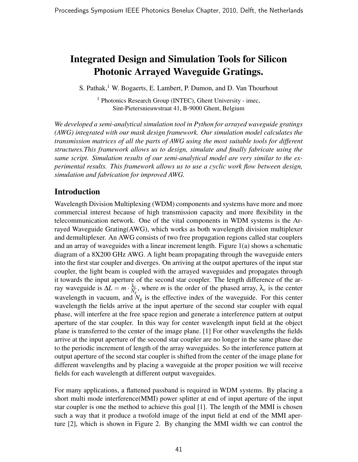# Integrated Design and Simulation Tools for Silicon Photonic Arrayed Waveguide Gratings.

S. Pathak,<sup>1</sup> W. Bogaerts, E. Lambert, P. Dumon, and D. Van Thourhout

<sup>1</sup> Photonics Research Group (INTEC), Ghent University - imec, Sint-Pietersnieuwstraat 41, B-9000 Ghent, Belgium

We developed a semi-analytical simulation tool in Python for arrayed waveguide gratings (AWG) integrated with our mask design framework. Our simulation model calculates the transmission matrices of all the parts of AWG using the most suitable tools for different structures.This framework allows us to design, simulate and finally fabricate using the same script. Simulation results of our semi-analytical model are very similar to the experimental results. This framework allows us to use a cyclic work flow between design, simulation and fabrication for improved AWG.

## Introduction

Wavelength Division Multiplexing (WDM) components and systems have more and more commercial interest because of high transmission capacity and more flexibility in the telecommunication network. One of the vital components in WDM systems is the Arrayed Waveguide Grating(AWG), which works as both wavelength division multiplexer and demultiplexer. An AWG consists of two free propagation regions called star couplers and an array of waveguides with a linear increment length. Figure 1(a) shows a schematic diagram of a 8X200 GHz AWG. A light beam propagating through the waveguide enters into the first star coupler and diverges. On arriving at the output apertures of the input star coupler, the light beam is coupled with the arrayed waveguides and propagates through it towards the input aperture of the second star coupler. The length difference of the array waveguide is  $\Delta L = m \cdot \frac{\lambda_c}{N_g}$ , where m is the order of the phased array,  $\lambda_c$  is the center wavelength in vacuum, and  $N_g$  is the effective index of the waveguide. For this center wavelength the fields arrive at the input aperture of the second star coupler with equal phase, will interfere at the free space region and generate a interference pattern at output aperture of the star coupler. In this way for center wavelength input field at the object plane is transferred to the center of the image plane. [1] For other wavelengths the fields arrive at the input aperture of the second star coupler are no longer in the same phase due to the periodic increment of length of the array waveguides. So the interference pattern at output aperture of the second star coupler is shifted from the center of the image plane for different wavelengths and by placing a waveguide at the proper position we will receive fields for each wavelength at different output waveguides.

For many applications, a flattened passband is required in WDM systems. By placing a short multi mode interference(MMI) power splitter at end of input aperture of the input star coupler is one the method to achieve this goal [1]. The length of the MMI is chosen such a way that it produce a twofold image of the input field at end of the MMI aperture [2], which is shown in Figure 2. By changing the MMI width we can control the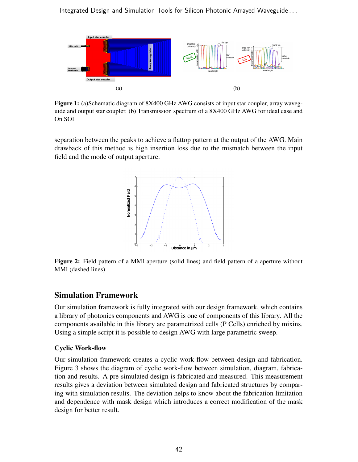Integrated Design and Simulation Tools for Silicon Photonic Arrayed Waveguide . . .



Figure 1: (a)Schematic diagram of 8X400 GHz AWG consists of input star coupler, array waveguide and output star coupler. (b) Transmission spectrum of a 8X400 GHz AWG for ideal case and On SOI

separation between the peaks to achieve a flattop pattern at the output of the AWG. Main drawback of this method is high insertion loss due to the mismatch between the input field and the mode of output aperture.



Figure 2: Field pattern of a MMI aperture (solid lines) and field pattern of a aperture without MMI (dashed lines).

#### Simulation Framework

Our simulation framework is fully integrated with our design framework, which contains a library of photonics components and AWG is one of components of this library. All the components available in this library are parametrized cells (P Cells) enriched by mixins. Using a simple script it is possible to design AWG with large parametric sweep.

#### Cyclic Work-flow

Our simulation framework creates a cyclic work-flow between design and fabrication. Figure 3 shows the diagram of cyclic work-flow between simulation, diagram, fabrication and results. A pre-simulated design is fabricated and measured. This measurement results gives a deviation between simulated design and fabricated structures by comparing with simulation results. The deviation helps to know about the fabrication limitation and dependence with mask design which introduces a correct modification of the mask design for better result.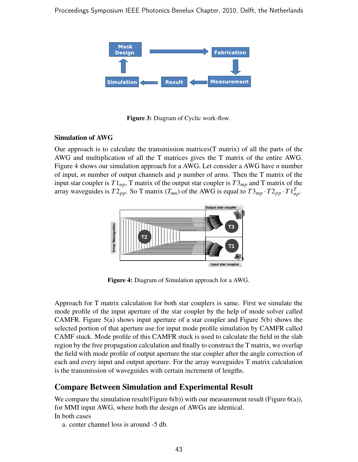

Figure 3: Diagram of Cyclic work-flow.

#### Simulation of AWG

Our approach is to calculate the transmission matrices  $(T \text{ matrix})$  of all the parts of the AWG and multiplication of all the T matrices gives the T matrix of the entire AWG. Figure 4 shows our simulation approach for a AWG. Let consider a AWG have *n* number of input, m number of output channels and  $p$  number of arms. Then the T matrix of the input star coupler is  $T1_{np}$ , T matrix of the output star coupler is  $T3_{mp}$  and T matrix of the array waveguides is  $T2_{pp}$ . So T matrix  $(T_{mn})$  of the AWG is equal to  $T3_{mp} \cdot T2_{pp} \cdot T1_{np}^T$ .



Figure 4: Diagram of Simulation approach for a AWG.

Approach for T matrix calculation for both star couplers is same. First we simulate the mode profile of the input aperture of the star coupler by the help of mode solver called CAMFR. Figure 5(a) shows input aperture of a star coupler and Figure 5(b) shows the selected portion of that aperture use for input mode profile simulation by CAMFR called CAMF stuck. Mode profile of this CAMFR stuck is used to calculate the field in the slab region by the free propagation calculation and finally to construct the T matrix, we overlap the field with mode profile of output aperture the star coupler after the angle correction of each and every input and output aperture. For the array waveguides T matrix calculation is the transmission of waveguides with certain increment of lengths.

### Compare Between Simulation and Experimental Result

We compare the simulation result (Figure  $6(b)$ ) with our measurement result (Figure  $6(a)$ ), for MMI input AWG, where both the design of AWGs are identical. In both cases

a. center channel loss is around -5 db.